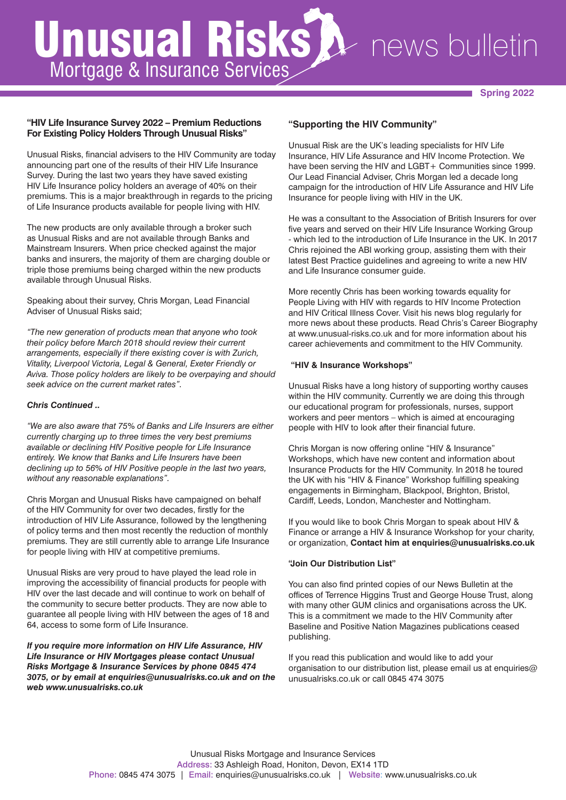# Unusual Risks Mortgage & Insurance Services news bulletin

**Spring 2022**

## **"HIV Life Insurance Survey 2022 – Premium Reductions For Existing Policy Holders Through Unusual Risks"**

Unusual Risks, financial advisers to the HIV Community are today announcing part one of the results of their HIV Life Insurance Survey. During the last two years they have saved existing HIV Life Insurance policy holders an average of 40% on their premiums. This is a major breakthrough in regards to the pricing of Life Insurance products available for people living with HIV.

The new products are only available through a broker such as Unusual Risks and are not available through Banks and Mainstream Insurers. When price checked against the major banks and insurers, the majority of them are charging double or triple those premiums being charged within the new products available through Unusual Risks.

Speaking about their survey, Chris Morgan, Lead Financial Adviser of Unusual Risks said;

*"The new generation of products mean that anyone who took their policy before March 2018 should review their current arrangements, especially if there existing cover is with Zurich, Vitality, Liverpool Victoria, Legal & General, Exeter Friendly or Aviva. Those policy holders are likely to be overpaying and should seek advice on the current market rates".* 

## *Chris Continued ..*

*"We are also aware that 75% of Banks and Life Insurers are either currently charging up to three times the very best premiums available or declining HIV Positive people for Life Insurance entirely. We know that Banks and Life Insurers have been declining up to 56% of HIV Positive people in the last two years, without any reasonable explanations".* 

Chris Morgan and Unusual Risks have campaigned on behalf of the HIV Community for over two decades, firstly for the introduction of HIV Life Assurance, followed by the lengthening of policy terms and then most recently the reduction of monthly premiums. They are still currently able to arrange Life Insurance for people living with HIV at competitive premiums.

Unusual Risks are very proud to have played the lead role in improving the accessibility of financial products for people with HIV over the last decade and will continue to work on behalf of the community to secure better products. They are now able to guarantee all people living with HIV between the ages of 18 and 64, access to some form of Life Insurance.

*If you require more information on HIV Life Assurance, HIV Life Insurance or HIV Mortgages please contact Unusual Risks Mortgage & Insurance Services by phone 0845 474 3075, or by email at enquiries@unusualrisks.co.uk and on the web www.unusualrisks.co.uk*

## **"Supporting the HIV Community"**

Unusual Risk are the UK's leading specialists for HIV Life Insurance, HIV Life Assurance and HIV Income Protection. We have been serving the HIV and LGBT+ Communities since 1999. Our Lead Financial Adviser, Chris Morgan led a decade long campaign for the introduction of HIV Life Assurance and HIV Life Insurance for people living with HIV in the UK.

He was a consultant to the Association of British Insurers for over five years and served on their HIV Life Insurance Working Group - which led to the introduction of Life Insurance in the UK. In 2017 Chris rejoined the ABI working group, assisting them with their latest Best Practice guidelines and agreeing to write a new HIV and Life Insurance consumer guide.

More recently Chris has been working towards equality for People Living with HIV with regards to HIV Income Protection and HIV Critical Illness Cover. Visit his news blog regularly for more news about these products. Read Chris's Career Biography at www.unusual-risks.co.uk and for more information about his career achievements and commitment to the HIV Community.

## **"HIV & Insurance Workshops"**

Unusual Risks have a long history of supporting worthy causes within the HIV community. Currently we are doing this through our educational program for professionals, nurses, support workers and peer mentors – which is aimed at encouraging people with HIV to look after their financial future.

Chris Morgan is now offering online "HIV & Insurance" Workshops, which have new content and information about Insurance Products for the HIV Community. In 2018 he toured the UK with his "HIV & Finance" Workshop fulfilling speaking engagements in Birmingham, Blackpool, Brighton, Bristol, Cardiff, Leeds, London, Manchester and Nottingham.

If you would like to book Chris Morgan to speak about HIV & Finance or arrange a HIV & Insurance Workshop for your charity, or organization, **Contact him at enquiries@unusualrisks.co.uk**

## **"Join Our Distribution List"**

You can also find printed copies of our News Bulletin at the offices of Terrence Higgins Trust and George House Trust, along with many other GUM clinics and organisations across the UK. This is a commitment we made to the HIV Community after Baseline and Positive Nation Magazines publications ceased publishing.

If you read this publication and would like to add your organisation to our distribution list, please email us at enquiries@ unusualrisks.co.uk or call 0845 474 3075